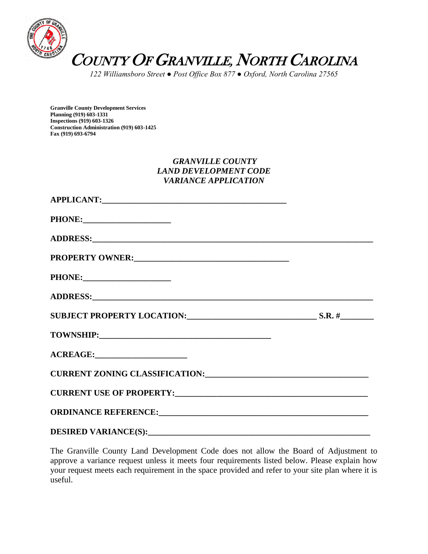

*122 Williamsboro Street ● Post Office Box 877 ● Oxford, North Carolina 27565*

**Granville County Development Services Planning (919) 603-1331 Inspections (919) 603-1326 Construction Administration (919) 603-1425 Fax (919) 693-6794**

## *GRANVILLE COUNTY LAND DEVELOPMENT CODE VARIANCE APPLICATION*

| ADDRESS: North Contract of the Contract of the Contract of the Contract of the Contract of the Contract of the Contract of the Contract of the Contract of the Contract of the Contract of the Contract of the Contract of the |  |
|--------------------------------------------------------------------------------------------------------------------------------------------------------------------------------------------------------------------------------|--|
|                                                                                                                                                                                                                                |  |
|                                                                                                                                                                                                                                |  |
|                                                                                                                                                                                                                                |  |
| SUBJECT PROPERTY LOCATION: SUBJECT PROPERTY LOCATION:                                                                                                                                                                          |  |
|                                                                                                                                                                                                                                |  |
|                                                                                                                                                                                                                                |  |
| CURRENT ZONING CLASSIFICATION: University of the contract of the contract of the contract of the contract of the contract of the contract of the contract of the contract of the contract of the contract of the contract of t |  |
|                                                                                                                                                                                                                                |  |
|                                                                                                                                                                                                                                |  |
|                                                                                                                                                                                                                                |  |

The Granville County Land Development Code does not allow the Board of Adjustment to approve a variance request unless it meets four requirements listed below. Please explain how your request meets each requirement in the space provided and refer to your site plan where it is useful.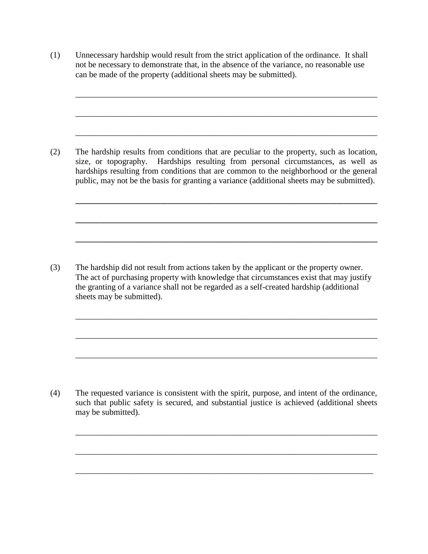(1) Unnecessary hardship would result from the strict application of the ordinance. It shall not be necessary to demonstrate that, in the absence of the variance, no reasonable use can be made of the property (additional sheets may be submitted).

\_\_\_\_\_\_\_\_\_\_\_\_\_\_\_\_\_\_\_\_\_\_\_\_\_\_\_\_\_\_\_\_\_\_\_\_\_\_\_\_\_\_\_\_\_\_\_\_\_\_\_\_\_\_\_\_\_\_\_\_\_\_\_\_\_\_\_\_\_\_\_\_

\_\_\_\_\_\_\_\_\_\_\_\_\_\_\_\_\_\_\_\_\_\_\_\_\_\_\_\_\_\_\_\_\_\_\_\_\_\_\_\_\_\_\_\_\_\_\_\_\_\_\_\_\_\_\_\_\_\_\_\_\_\_\_\_\_\_\_\_\_\_\_\_

\_\_\_\_\_\_\_\_\_\_\_\_\_\_\_\_\_\_\_\_\_\_\_\_\_\_\_\_\_\_\_\_\_\_\_\_\_\_\_\_\_\_\_\_\_\_\_\_\_\_\_\_\_\_\_\_\_\_\_\_\_\_\_\_\_\_\_\_\_\_\_\_

**\_\_\_\_\_\_\_\_\_\_\_\_\_\_\_\_\_\_\_\_\_\_\_\_\_\_\_\_\_\_\_\_\_\_\_\_\_\_\_\_\_\_\_\_\_\_\_\_\_\_\_\_\_\_\_\_\_\_\_\_\_\_\_\_\_\_\_\_\_\_\_\_**

**\_\_\_\_\_\_\_\_\_\_\_\_\_\_\_\_\_\_\_\_\_\_\_\_\_\_\_\_\_\_\_\_\_\_\_\_\_\_\_\_\_\_\_\_\_\_\_\_\_\_\_\_\_\_\_\_\_\_\_\_\_\_\_\_\_\_\_\_\_\_\_\_**

**\_\_\_\_\_\_\_\_\_\_\_\_\_\_\_\_\_\_\_\_\_\_\_\_\_\_\_\_\_\_\_\_\_\_\_\_\_\_\_\_\_\_\_\_\_\_\_\_\_\_\_\_\_\_\_\_\_\_\_\_\_\_\_\_\_\_\_\_\_\_\_\_**

\_\_\_\_\_\_\_\_\_\_\_\_\_\_\_\_\_\_\_\_\_\_\_\_\_\_\_\_\_\_\_\_\_\_\_\_\_\_\_\_\_\_\_\_\_\_\_\_\_\_\_\_\_\_\_\_\_\_\_\_\_\_\_\_\_\_\_\_\_\_\_\_

\_\_\_\_\_\_\_\_\_\_\_\_\_\_\_\_\_\_\_\_\_\_\_\_\_\_\_\_\_\_\_\_\_\_\_\_\_\_\_\_\_\_\_\_\_\_\_\_\_\_\_\_\_\_\_\_\_\_\_\_\_\_\_\_\_\_\_\_\_\_\_\_

\_\_\_\_\_\_\_\_\_\_\_\_\_\_\_\_\_\_\_\_\_\_\_\_\_\_\_\_\_\_\_\_\_\_\_\_\_\_\_\_\_\_\_\_\_\_\_\_\_\_\_\_\_\_\_\_\_\_\_\_\_\_\_\_\_\_\_\_\_\_\_\_

\_\_\_\_\_\_\_\_\_\_\_\_\_\_\_\_\_\_\_\_\_\_\_\_\_\_\_\_\_\_\_\_\_\_\_\_\_\_\_\_\_\_\_\_\_\_\_\_\_\_\_\_\_\_\_\_\_\_\_\_\_\_\_\_\_\_\_\_\_\_\_\_

\_\_\_\_\_\_\_\_\_\_\_\_\_\_\_\_\_\_\_\_\_\_\_\_\_\_\_\_\_\_\_\_\_\_\_\_\_\_\_\_\_\_\_\_\_\_\_\_\_\_\_\_\_\_\_\_\_\_\_\_\_\_\_\_\_\_\_\_\_\_\_\_

\_\_\_\_\_\_\_\_\_\_\_\_\_\_\_\_\_\_\_\_\_\_\_\_\_\_\_\_\_\_\_\_\_\_\_\_\_\_\_\_\_\_\_\_\_\_\_\_\_\_\_\_\_\_\_\_\_\_\_\_\_\_\_\_\_\_\_\_\_\_\_

(2) The hardship results from conditions that are peculiar to the property, such as location, size, or topography. Hardships resulting from personal circumstances, as well as hardships resulting from conditions that are common to the neighborhood or the general public, may not be the basis for granting a variance (additional sheets may be submitted).

(3) The hardship did not result from actions taken by the applicant or the property owner. The act of purchasing property with knowledge that circumstances exist that may justify the granting of a variance shall not be regarded as a self-created hardship (additional sheets may be submitted).

(4) The requested variance is consistent with the spirit, purpose, and intent of the ordinance, such that public safety is secured, and substantial justice is achieved (additional sheets may be submitted).